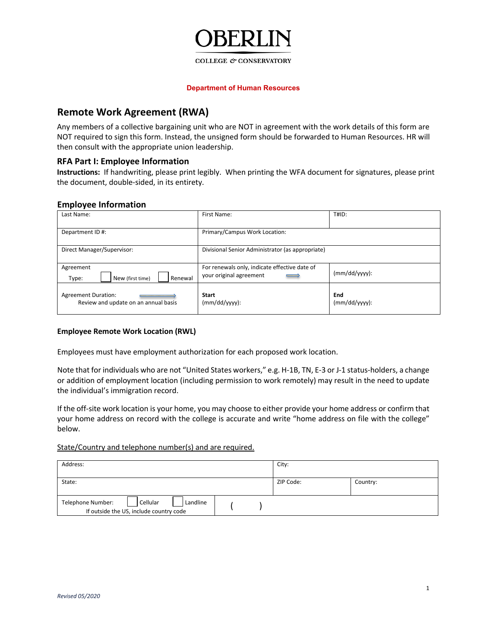

#### COLLEGE & CONSERVATORY

#### **Department of Human Resources**

# **Remote Work Agreement (RWA)**

Any members of a collective bargaining unit who are NOT in agreement with the work details of this form are NOT required to sign this form. Instead, the unsigned form should be forwarded to Human Resources. HR will then consult with the appropriate union leadership.

# **RFA Part I: Employee Information**

**Instructions:** If handwriting, please print legibly. When printing the WFA document for signatures, please print the document, double-sided, in its entirety.

# **Employee Information**

| Last Name:                                                         | First Name:                                                                                          | T#ID:                  |  |
|--------------------------------------------------------------------|------------------------------------------------------------------------------------------------------|------------------------|--|
| Department ID#:                                                    | Primary/Campus Work Location:                                                                        |                        |  |
| Direct Manager/Supervisor:                                         | Divisional Senior Administrator (as appropriate)                                                     |                        |  |
| Agreement<br>New (first time)<br>Renewal<br>Type:                  | For renewals only, indicate effective date of<br>your original agreement<br>$\overline{\phantom{0}}$ | $(mm/dd/yyy)$ :        |  |
| <b>Agreement Duration:</b><br>Review and update on an annual basis | <b>Start</b><br>$(mm/dd/yyyy)$ :                                                                     | End<br>$(mm/dd/yyy)$ : |  |

# **Employee Remote Work Location (RWL)**

Employees must have employment authorization for each proposed work location.

Note that for individuals who are not "United States workers," e.g. H-1B, TN, E-3 or J-1 status-holders, a change or addition of employment location (including permission to work remotely) may result in the need to update the individual's immigration record.

If the off-site work location is your home, you may choose to either provide your home address or confirm that your home address on record with the college is accurate and write "home address on file with the college" below.

# State/Country and telephone number(s) and are required.

| Address:                                                                 |          |  | City: |           |          |
|--------------------------------------------------------------------------|----------|--|-------|-----------|----------|
| State:                                                                   |          |  |       | ZIP Code: | Country: |
| Cellular<br>Telephone Number:<br>If outside the US, include country code | Landline |  |       |           |          |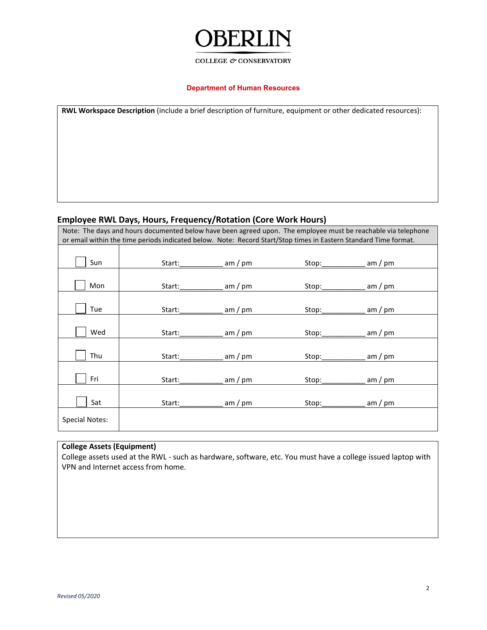# ⊣` ЭL

# COLLEGE  $\mathcal O$  CONSERVATORY

## **Department of Human Resources**

| RWL Workspace Description (include a brief description of furniture, equipment or other dedicated resources): |  |  |  |  |  |  |
|---------------------------------------------------------------------------------------------------------------|--|--|--|--|--|--|
|                                                                                                               |  |  |  |  |  |  |
|                                                                                                               |  |  |  |  |  |  |
|                                                                                                               |  |  |  |  |  |  |
|                                                                                                               |  |  |  |  |  |  |
|                                                                                                               |  |  |  |  |  |  |
|                                                                                                               |  |  |  |  |  |  |
|                                                                                                               |  |  |  |  |  |  |

# **Employee RWL Days, Hours, Frequency/Rotation (Core Work Hours)**

Note: The days and hours documented below have been agreed upon. The employee must be reachable via telephone or email within the time periods indicated below. Note: Record Start/Stop times in Eastern Standard Time format.

| Sun                   | Start: | am / pm   | Stop:            | am / pm   |
|-----------------------|--------|-----------|------------------|-----------|
|                       |        |           |                  |           |
| Mon                   | Start: | $am$ / pm | Stop:            | am / pm   |
|                       |        |           |                  |           |
| Tue                   | Start: | am / pm   | Stop:            | am / pm   |
|                       |        |           |                  |           |
| Wed                   | Start: | $am$ / pm | Stop:            | am / $pm$ |
|                       |        |           |                  |           |
| Thu                   | Start: | am / pm   | Stop:            | am / pm   |
|                       |        |           |                  |           |
| Fri                   | Start: | am / pm   | Stop:            | am / pm   |
|                       |        |           |                  |           |
| Sat                   | Start: | $am$ / pm | Stop:___________ | am / pm   |
| <b>Special Notes:</b> |        |           |                  |           |

# **College Assets (Equipment)**

College assets used at the RWL - such as hardware, software, etc. You must have a college issued laptop with VPN and Internet access from home.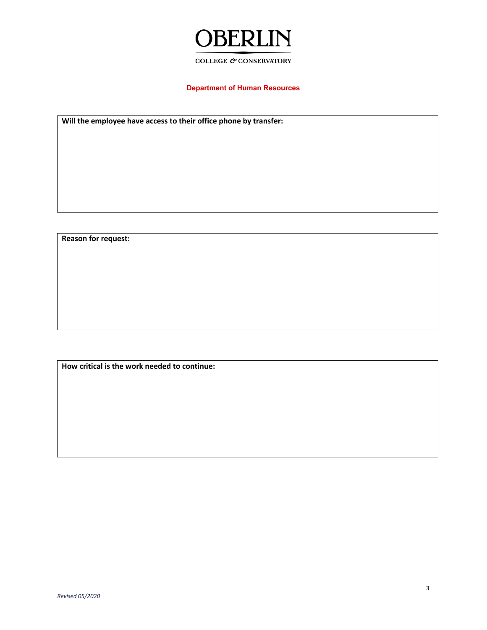

#### COLLEGE  $\mathcal O$  CONSERVATORY

# **Department of Human Resources**

**Will the employee have access to their office phone by transfer:**

**Reason for request:**

**How critical is the work needed to continue:**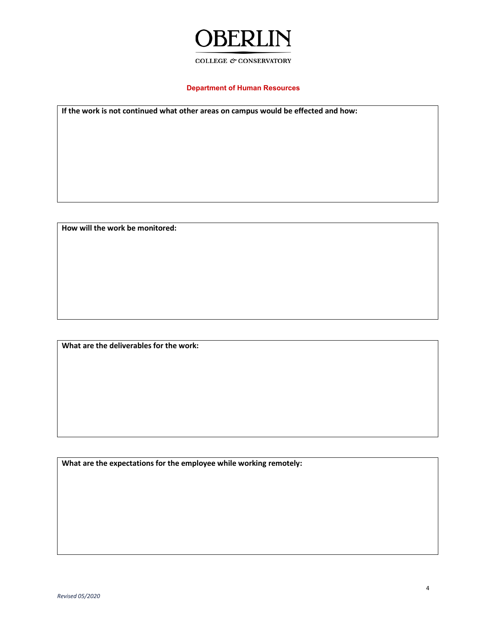# **OBERLIN**

## COLLEGE  $\mathcal O$  CONSERVATORY

# **Department of Human Resources**

**If the work is not continued what other areas on campus would be effected and how:**

**How will the work be monitored:**

**What are the deliverables for the work:**

**What are the expectations for the employee while working remotely:**